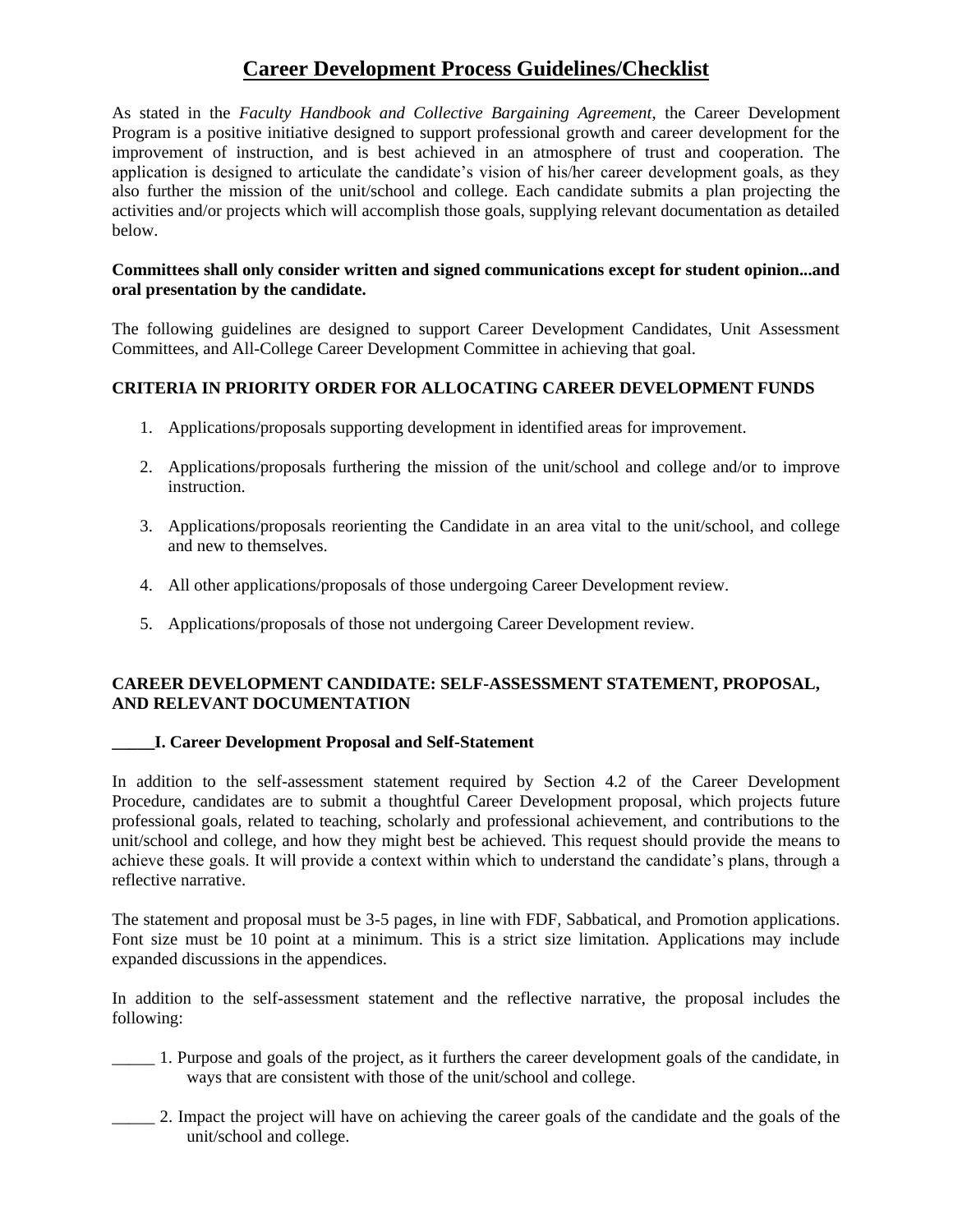# **Career Development Process Guidelines/Checklist**

As stated in the *Faculty Handbook and Collective Bargaining Agreement*, the Career Development Program is a positive initiative designed to support professional growth and career development for the improvement of instruction, and is best achieved in an atmosphere of trust and cooperation. The application is designed to articulate the candidate's vision of his/her career development goals, as they also further the mission of the unit/school and college. Each candidate submits a plan projecting the activities and/or projects which will accomplish those goals, supplying relevant documentation as detailed below.

#### **Committees shall only consider written and signed communications except for student opinion...and oral presentation by the candidate.**

The following guidelines are designed to support Career Development Candidates, Unit Assessment Committees, and All-College Career Development Committee in achieving that goal.

# **CRITERIA IN PRIORITY ORDER FOR ALLOCATING CAREER DEVELOPMENT FUNDS**

- 1. Applications/proposals supporting development in identified areas for improvement.
- 2. Applications/proposals furthering the mission of the unit/school and college and/or to improve instruction.
- 3. Applications/proposals reorienting the Candidate in an area vital to the unit/school, and college and new to themselves.
- 4. All other applications/proposals of those undergoing Career Development review.
- 5. Applications/proposals of those not undergoing Career Development review.

# **CAREER DEVELOPMENT CANDIDATE: SELF-ASSESSMENT STATEMENT, PROPOSAL, AND RELEVANT DOCUMENTATION**

#### **\_\_\_\_\_I. Career Development Proposal and Self-Statement**

In addition to the self-assessment statement required by Section 4.2 of the Career Development Procedure, candidates are to submit a thoughtful Career Development proposal, which projects future professional goals, related to teaching, scholarly and professional achievement, and contributions to the unit/school and college, and how they might best be achieved. This request should provide the means to achieve these goals. It will provide a context within which to understand the candidate's plans, through a reflective narrative.

The statement and proposal must be 3-5 pages, in line with FDF, Sabbatical, and Promotion applications. Font size must be 10 point at a minimum. This is a strict size limitation. Applications may include expanded discussions in the appendices.

In addition to the self-assessment statement and the reflective narrative, the proposal includes the following:

- \_\_\_\_\_ 1. Purpose and goals of the project, as it furthers the career development goals of the candidate, in ways that are consistent with those of the unit/school and college.
- \_\_\_\_\_ 2. Impact the project will have on achieving the career goals of the candidate and the goals of the unit/school and college.